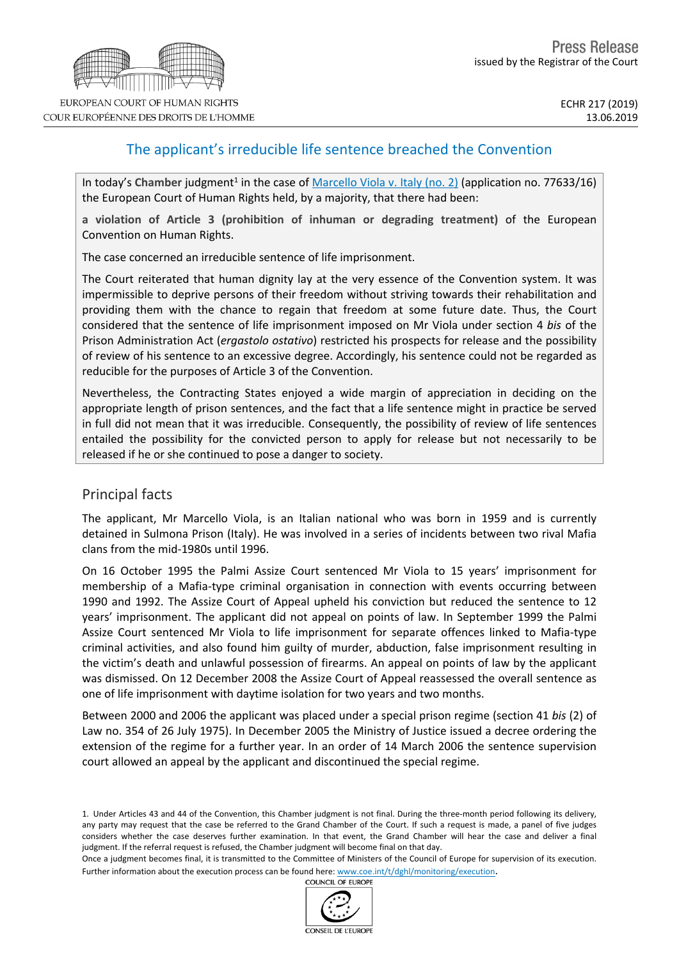# The applicant's irreducible life sentence breached the Convention

In today's Chamber judgment<sup>1</sup> in the case of [Marcello](http://hudoc.echr.coe.int/eng?i=001-194036) Viola v. Italy (no. 2) (application no. 77633/16) the European Court of Human Rights held, by a majority, that there had been:

**a violation of Article 3 (prohibition of inhuman or degrading treatment)** of the European Convention on Human Rights.

The case concerned an irreducible sentence of life imprisonment.

The Court reiterated that human dignity lay at the very essence of the Convention system. It was impermissible to deprive persons of their freedom without striving towards their rehabilitation and providing them with the chance to regain that freedom at some future date. Thus, the Court considered that the sentence of life imprisonment imposed on Mr Viola under section 4 *bis* of the Prison Administration Act (*ergastolo ostativo*) restricted his prospects for release and the possibility of review of his sentence to an excessive degree. Accordingly, his sentence could not be regarded as reducible for the purposes of Article 3 of the Convention.

Nevertheless, the Contracting States enjoyed a wide margin of appreciation in deciding on the appropriate length of prison sentences, and the fact that a life sentence might in practice be served in full did not mean that it was irreducible. Consequently, the possibility of review of life sentences entailed the possibility for the convicted person to apply for release but not necessarily to be released if he or she continued to pose a danger to society.

## Principal facts

The applicant, Mr Marcello Viola, is an Italian national who was born in 1959 and is currently detained in Sulmona Prison (Italy). He was involved in a series of incidents between two rival Mafia clans from the mid-1980s until 1996.

On 16 October 1995 the Palmi Assize Court sentenced Mr Viola to 15 years' imprisonment for membership of a Mafia-type criminal organisation in connection with events occurring between 1990 and 1992. The Assize Court of Appeal upheld his conviction but reduced the sentence to 12 years' imprisonment. The applicant did not appeal on points of law. In September 1999 the Palmi Assize Court sentenced Mr Viola to life imprisonment for separate offences linked to Mafia-type criminal activities, and also found him guilty of murder, abduction, false imprisonment resulting in the victim's death and unlawful possession of firearms. An appeal on points of law by the applicant was dismissed. On 12 December 2008 the Assize Court of Appeal reassessed the overall sentence as one of life imprisonment with daytime isolation for two years and two months.

Between 2000 and 2006 the applicant was placed under a special prison regime (section 41 *bis* (2) of Law no. 354 of 26 July 1975). In December 2005 the Ministry of Justice issued a decree ordering the extension of the regime for a further year. In an order of 14 March 2006 the sentence supervision court allowed an appeal by the applicant and discontinued the special regime.



<sup>1.</sup> Under Articles 43 and 44 of the Convention, this Chamber judgment is not final. During the three-month period following its delivery, any party may request that the case be referred to the Grand Chamber of the Court. If such a request is made, a panel of five judges considers whether the case deserves further examination. In that event, the Grand Chamber will hear the case and deliver a final judgment. If the referral request is refused, the Chamber judgment will become final on that day.

Once a judgment becomes final, it is transmitted to the Committee of Ministers of the Council of Europe for supervision of its execution. Further information about the execution process can be found here: [www.coe.int/t/dghl/monitoring/execution](http://www.coe.int/t/dghl/monitoring/execution).<br>COUNCIL OF EUROPE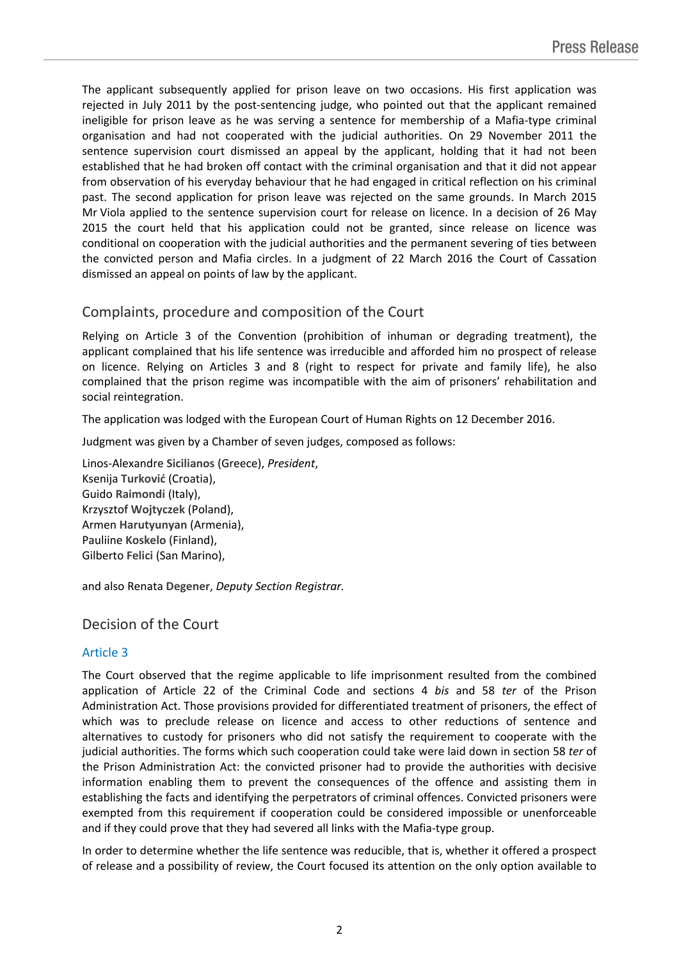The applicant subsequently applied for prison leave on two occasions. His first application was rejected in July 2011 by the post-sentencing judge, who pointed out that the applicant remained ineligible for prison leave as he was serving a sentence for membership of a Mafia-type criminal organisation and had not cooperated with the judicial authorities. On 29 November 2011 the sentence supervision court dismissed an appeal by the applicant, holding that it had not been established that he had broken off contact with the criminal organisation and that it did not appear from observation of his everyday behaviour that he had engaged in critical reflection on his criminal past. The second application for prison leave was rejected on the same grounds. In March 2015 Mr Viola applied to the sentence supervision court for release on licence. In a decision of 26 May 2015 the court held that his application could not be granted, since release on licence was conditional on cooperation with the judicial authorities and the permanent severing of ties between the convicted person and Mafia circles. In a judgment of 22 March 2016 the Court of Cassation dismissed an appeal on points of law by the applicant.

## Complaints, procedure and composition of the Court

Relying on Article 3 of the Convention (prohibition of inhuman or degrading treatment), the applicant complained that his life sentence was irreducible and afforded him no prospect of release on licence. Relying on Articles 3 and 8 (right to respect for private and family life), he also complained that the prison regime was incompatible with the aim of prisoners' rehabilitation and social reintegration.

The application was lodged with the European Court of Human Rights on 12 December 2016.

Judgment was given by a Chamber of seven judges, composed as follows:

Linos-Alexandre **Sicilianos** (Greece), *President*, Ksenija **Turković** (Croatia), Guido **Raimondi** (Italy), Krzysztof **Wojtyczek** (Poland), Armen **Harutyunyan** (Armenia), Pauliine **Koskelo** (Finland), Gilberto **Felici** (San Marino),

and also Renata **Degener**, *Deputy Section Registrar.*

## Decision of the Court

#### Article 3

The Court observed that the regime applicable to life imprisonment resulted from the combined application of Article 22 of the Criminal Code and sections 4 *bis* and 58 *ter* of the Prison Administration Act. Those provisions provided for differentiated treatment of prisoners, the effect of which was to preclude release on licence and access to other reductions of sentence and alternatives to custody for prisoners who did not satisfy the requirement to cooperate with the judicial authorities. The forms which such cooperation could take were laid down in section 58 *ter* of the Prison Administration Act: the convicted prisoner had to provide the authorities with decisive information enabling them to prevent the consequences of the offence and assisting them in establishing the facts and identifying the perpetrators of criminal offences. Convicted prisoners were exempted from this requirement if cooperation could be considered impossible or unenforceable and if they could prove that they had severed all links with the Mafia-type group.

In order to determine whether the life sentence was reducible, that is, whether it offered a prospect of release and a possibility of review, the Court focused its attention on the only option available to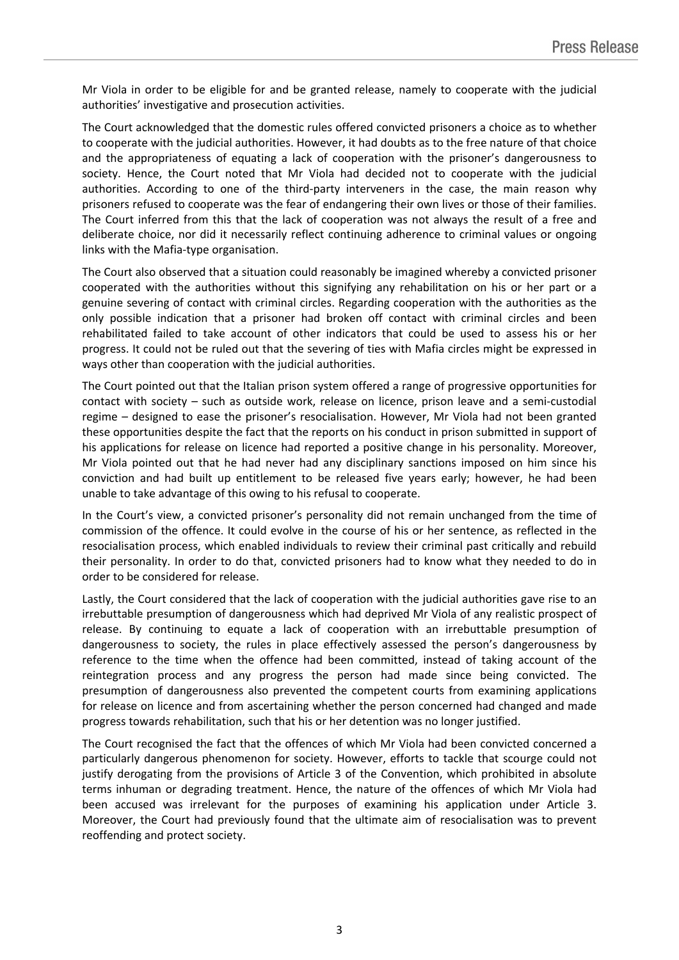Mr Viola in order to be eligible for and be granted release, namely to cooperate with the judicial authorities' investigative and prosecution activities.

The Court acknowledged that the domestic rules offered convicted prisoners a choice as to whether to cooperate with the judicial authorities. However, it had doubts as to the free nature of that choice and the appropriateness of equating a lack of cooperation with the prisoner's dangerousness to society. Hence, the Court noted that Mr Viola had decided not to cooperate with the judicial authorities. According to one of the third-party interveners in the case, the main reason why prisoners refused to cooperate was the fear of endangering their own lives or those of their families. The Court inferred from this that the lack of cooperation was not always the result of a free and deliberate choice, nor did it necessarily reflect continuing adherence to criminal values or ongoing links with the Mafia-type organisation.

The Court also observed that a situation could reasonably be imagined whereby a convicted prisoner cooperated with the authorities without this signifying any rehabilitation on his or her part or a genuine severing of contact with criminal circles. Regarding cooperation with the authorities as the only possible indication that a prisoner had broken off contact with criminal circles and been rehabilitated failed to take account of other indicators that could be used to assess his or her progress. It could not be ruled out that the severing of ties with Mafia circles might be expressed in ways other than cooperation with the judicial authorities.

The Court pointed out that the Italian prison system offered a range of progressive opportunities for contact with society – such as outside work, release on licence, prison leave and a semi-custodial regime – designed to ease the prisoner's resocialisation. However, Mr Viola had not been granted these opportunities despite the fact that the reports on his conduct in prison submitted in support of his applications for release on licence had reported a positive change in his personality. Moreover, Mr Viola pointed out that he had never had any disciplinary sanctions imposed on him since his conviction and had built up entitlement to be released five years early; however, he had been unable to take advantage of this owing to his refusal to cooperate.

In the Court's view, a convicted prisoner's personality did not remain unchanged from the time of commission of the offence. It could evolve in the course of his or her sentence, as reflected in the resocialisation process, which enabled individuals to review their criminal past critically and rebuild their personality. In order to do that, convicted prisoners had to know what they needed to do in order to be considered for release.

Lastly, the Court considered that the lack of cooperation with the judicial authorities gave rise to an irrebuttable presumption of dangerousness which had deprived Mr Viola of any realistic prospect of release. By continuing to equate a lack of cooperation with an irrebuttable presumption of dangerousness to society, the rules in place effectively assessed the person's dangerousness by reference to the time when the offence had been committed, instead of taking account of the reintegration process and any progress the person had made since being convicted. The presumption of dangerousness also prevented the competent courts from examining applications for release on licence and from ascertaining whether the person concerned had changed and made progress towards rehabilitation, such that his or her detention was no longer justified.

The Court recognised the fact that the offences of which Mr Viola had been convicted concerned a particularly dangerous phenomenon for society. However, efforts to tackle that scourge could not justify derogating from the provisions of Article 3 of the Convention, which prohibited in absolute terms inhuman or degrading treatment. Hence, the nature of the offences of which Mr Viola had been accused was irrelevant for the purposes of examining his application under Article 3. Moreover, the Court had previously found that the ultimate aim of resocialisation was to prevent reoffending and protect society.